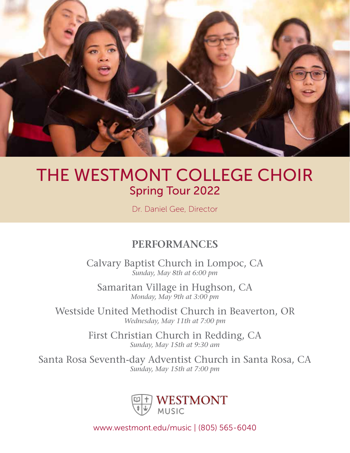

# THE WESTMONT COLLEGE CHOIR Spring Tour 2022

Dr. Daniel Gee, Director

## **performances**

Calvary Baptist Church in Lompoc, CA *Sunday, May 8th at 6:00 pm*

Samaritan Village in Hughson, CA *Monday, May 9th at 3:00 pm*

Westside United Methodist Church in Beaverton, OR *Wednesday, May 11th at 7:00 pm*

> First Christian Church in Redding, CA *Sunday, May 15th at 9:30 am*

Santa Rosa Seventh-day Adventist Church in Santa Rosa, CA *Sunday, May 15th at 7:00 pm*



www.westmont.edu/music | (805) 565-6040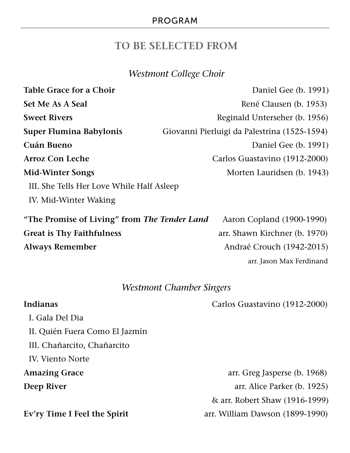### **to be selected from**

### *Westmont College Choir*

| <b>Table Grace for a Choir</b>               | Daniel Gee (b. 1991)                         |
|----------------------------------------------|----------------------------------------------|
| <b>Set Me As A Seal</b>                      | René Clausen (b. 1953)                       |
| <b>Sweet Rivers</b>                          | Reginald Unterseher (b. 1956)                |
| <b>Super Flumina Babylonis</b>               | Giovanni Pierluigi da Palestrina (1525-1594) |
| Cuán Bueno                                   | Daniel Gee (b. 1991)                         |
| <b>Arroz Con Leche</b>                       | Carlos Guastavino (1912-2000)                |
| <b>Mid-Winter Songs</b>                      | Morten Lauridsen (b. 1943)                   |
| III. She Tells Her Love While Half Asleep    |                                              |
| IV. Mid-Winter Waking                        |                                              |
| "The Promise of Living" from The Tender Land | Aaron Copland (1900-1990)                    |
| <b>Great is Thy Faithfulness</b>             | arr. Shawn Kirchner (b. 1970)                |
| <b>Always Remember</b>                       | Andraé Crouch (1942-2015)                    |
|                                              | arr. Jason Max Ferdinand                     |
|                                              |                                              |

### *Westmont Chamber Singers*

**Indianas** Carlos Guastavino (1912-2000)

I. Gala Del Dia II. Quién Fuera Como El Jazmín III. Chañarcito, Chañarcito IV. Viento Norte

**Amazing Grace** arr. Greg Jasperse (b. 1968) **Deep River arr.** Alice Parker (b. 1925) & arr. Robert Shaw (1916-1999) **Ev'ry Time I Feel the Spirit** arr. William Dawson (1899-1990)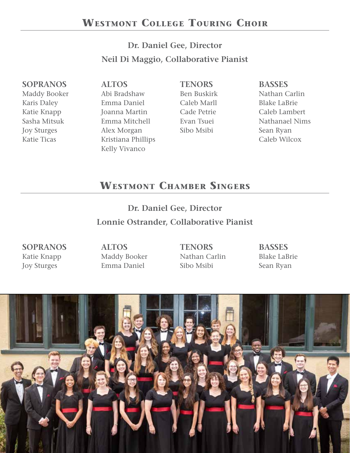### **Dr. Daniel Gee, Director Neil Di Maggio, Collaborative Pianist**

### **Sopranos**

Maddy Booker Karis Daley Katie Knapp Sasha Mitsuk Joy Sturges Katie Ticas

**Altos** Abi Bradshaw Emma Daniel Joanna Martin Emma Mitchell Alex Morgan Kristiana Phillips Kelly Vivanco

### **Tenors**

Ben Buskirk Caleb Marll Cade Petrie Evan Tsuei Sibo Msibi

### **Basses**

Nathan Carlin Blake LaBrie Caleb Lambert Nathanael Nims Sean Ryan Caleb Wilcox

## **Westmont Chamber Singers**

**Dr. Daniel Gee, Director Lonnie Ostrander, Collaborative Pianist**

**Sopranos** Katie Knapp Joy Sturges

**Altos** Maddy Booker Emma Daniel

**Tenors** Nathan Carlin Sibo Msibi

**Basses** Blake LaBrie Sean Ryan